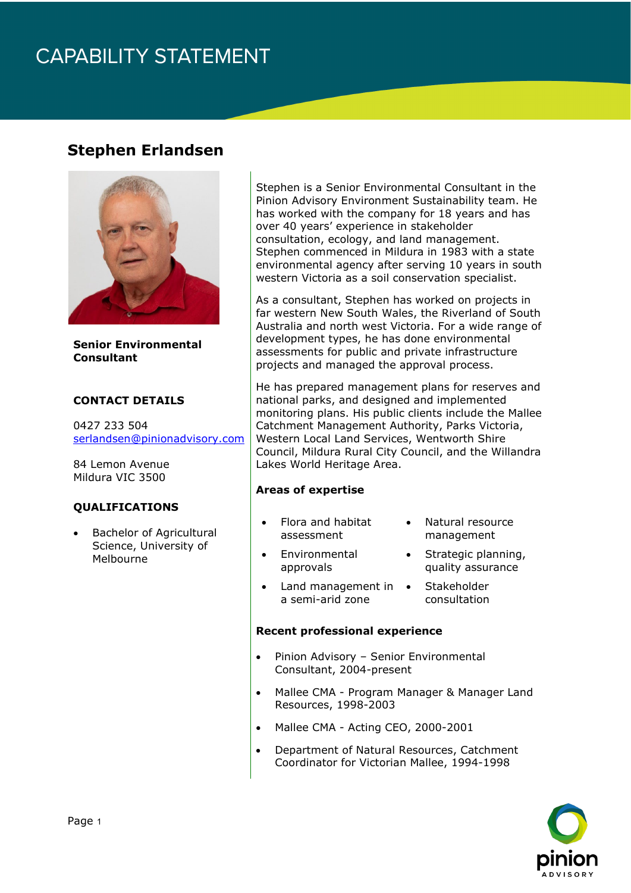# **CAPABILITY STATEMENT**

### **Stephen Erlandsen**



**Senior Environmental Consultant**

#### **CONTACT DETAILS**

0427 233 504 [serlandsen@pinionadvisory.com](mailto:serlandsen@pinionadvisory.com)

84 Lemon Avenue Mildura VIC 3500

#### **QUALIFICATIONS**

• Bachelor of Agricultural Science, University of Melbourne

Stephen is a Senior Environmental Consultant in the Pinion Advisory Environment Sustainability team. He has worked with the company for 18 years and has over 40 years' experience in stakeholder consultation, ecology, and land management. Stephen commenced in Mildura in 1983 with a state environmental agency after serving 10 years in south western Victoria as a soil conservation specialist.

As a consultant, Stephen has worked on projects in far western New South Wales, the Riverland of South Australia and north west Victoria. For a wide range of development types, he has done environmental assessments for public and private infrastructure projects and managed the approval process.

He has prepared management plans for reserves and national parks, and designed and implemented monitoring plans. His public clients include the Mallee Catchment Management Authority, Parks Victoria, Western Local Land Services, Wentworth Shire Council, Mildura Rural City Council, and the Willandra Lakes World Heritage Area.

#### **Areas of expertise**

• Flora and habitat assessment

> **Environmental** approvals

- Natural resource management
- Strategic planning, quality assurance
- Land management in a semi-arid zone
- **Stakeholder** consultation

#### **Recent professional experience**

- Pinion Advisory Senior Environmental Consultant, 2004-present
- Mallee CMA Program Manager & Manager Land Resources, 1998-2003
- Mallee CMA Acting CEO, 2000-2001
- Department of Natural Resources, Catchment Coordinator for Victorian Mallee, 1994-1998